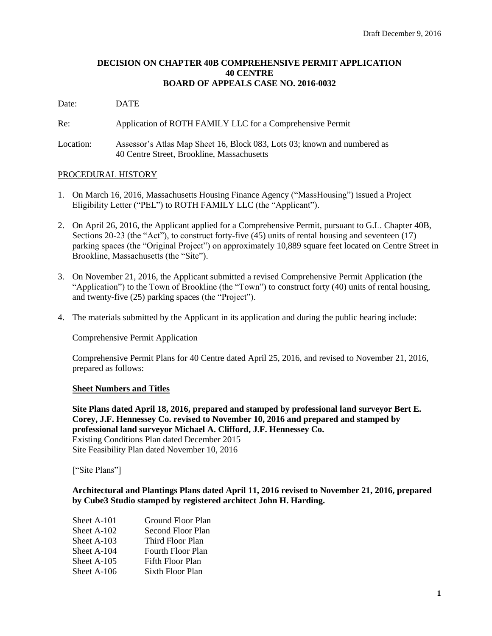# **DECISION ON CHAPTER 40B COMPREHENSIVE PERMIT APPLICATION 40 CENTRE BOARD OF APPEALS CASE NO. 2016-0032**

Date: DATE

Re: Application of ROTH FAMILY LLC for a Comprehensive Permit

Location: Assessor's Atlas Map Sheet 16, Block 083, Lots 03; known and numbered as 40 Centre Street, Brookline, Massachusetts

### PROCEDURAL HISTORY

- 1. On March 16, 2016, Massachusetts Housing Finance Agency ("MassHousing") issued a Project Eligibility Letter ("PEL") to ROTH FAMILY LLC (the "Applicant").
- 2. On April 26, 2016, the Applicant applied for a Comprehensive Permit, pursuant to G.L. Chapter 40B, Sections 20-23 (the "Act"), to construct forty-five (45) units of rental housing and seventeen (17) parking spaces (the "Original Project") on approximately 10,889 square feet located on Centre Street in Brookline, Massachusetts (the "Site").
- 3. On November 21, 2016, the Applicant submitted a revised Comprehensive Permit Application (the "Application") to the Town of Brookline (the "Town") to construct forty (40) units of rental housing, and twenty-five (25) parking spaces (the "Project").
- 4. The materials submitted by the Applicant in its application and during the public hearing include:

Comprehensive Permit Application

Comprehensive Permit Plans for 40 Centre dated April 25, 2016, and revised to November 21, 2016, prepared as follows:

### **Sheet Numbers and Titles**

**Site Plans dated April 18, 2016, prepared and stamped by professional land surveyor Bert E. Corey, J.F. Hennessey Co. revised to November 10, 2016 and prepared and stamped by professional land surveyor Michael A. Clifford, J.F. Hennessey Co.** Existing Conditions Plan dated December 2015 Site Feasibility Plan dated November 10, 2016

["Site Plans"]

**Architectural and Plantings Plans dated April 11, 2016 revised to November 21, 2016, prepared by Cube3 Studio stamped by registered architect John H. Harding.**

| Sheet A-101 | Ground Floor Plan        |
|-------------|--------------------------|
| Sheet A-102 | Second Floor Plan        |
| Sheet A-103 | Third Floor Plan         |
| Sheet A-104 | <b>Fourth Floor Plan</b> |
| Sheet A-105 | Fifth Floor Plan         |
| Sheet A-106 | Sixth Floor Plan         |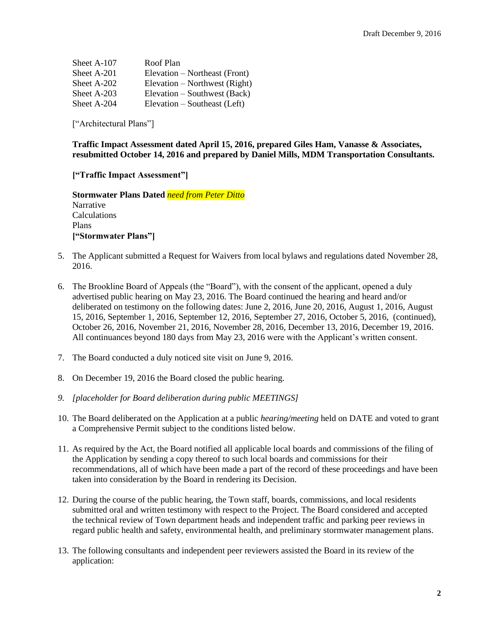| Sheet A-107 | Roof Plan                     |
|-------------|-------------------------------|
| Sheet A-201 | Elevation – Northeast (Front) |
| Sheet A-202 | Elevation – Northwest (Right) |
| Sheet A-203 | Elevation – Southwest (Back)  |
| Sheet A-204 | Elevation – Southeast (Left)  |

["Architectural Plans"]

### **Traffic Impact Assessment dated April 15, 2016, prepared Giles Ham, Vanasse & Associates, resubmitted October 14, 2016 and prepared by Daniel Mills, MDM Transportation Consultants.**

**["Traffic Impact Assessment"]**

**Stormwater Plans Dated** *need from Peter Ditto* **Narrative** Calculations Plans **["Stormwater Plans"]**

- 5. The Applicant submitted a Request for Waivers from local bylaws and regulations dated November 28, 2016.
- 6. The Brookline Board of Appeals (the "Board"), with the consent of the applicant, opened a duly advertised public hearing on May 23, 2016. The Board continued the hearing and heard and/or deliberated on testimony on the following dates: June 2, 2016, June 20, 2016, August 1, 2016, August 15, 2016, September 1, 2016, September 12, 2016, September 27, 2016, October 5, 2016, (continued), October 26, 2016, November 21, 2016, November 28, 2016, December 13, 2016, December 19, 2016. All continuances beyond 180 days from May 23, 2016 were with the Applicant's written consent.
- 7. The Board conducted a duly noticed site visit on June 9, 2016.
- 8. On December 19, 2016 the Board closed the public hearing.
- *9. [placeholder for Board deliberation during public MEETINGS]*
- 10. The Board deliberated on the Application at a public *hearing/meeting* held on DATE and voted to grant a Comprehensive Permit subject to the conditions listed below.
- 11. As required by the Act, the Board notified all applicable local boards and commissions of the filing of the Application by sending a copy thereof to such local boards and commissions for their recommendations, all of which have been made a part of the record of these proceedings and have been taken into consideration by the Board in rendering its Decision.
- 12. During the course of the public hearing, the Town staff, boards, commissions, and local residents submitted oral and written testimony with respect to the Project. The Board considered and accepted the technical review of Town department heads and independent traffic and parking peer reviews in regard public health and safety, environmental health, and preliminary stormwater management plans.
- 13. The following consultants and independent peer reviewers assisted the Board in its review of the application: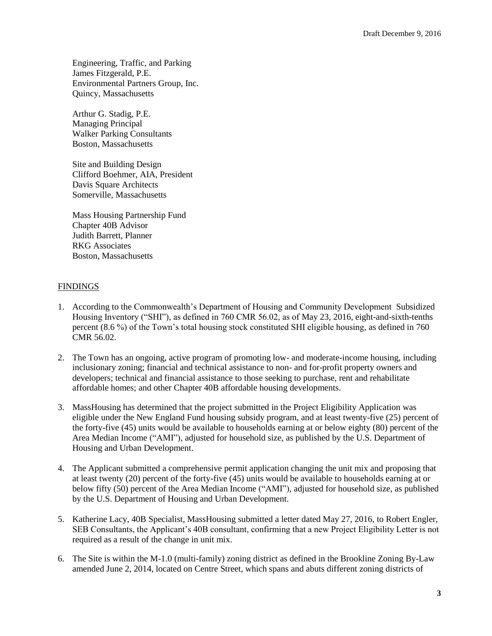Engineering, Traffic, and Parking James Fitzgerald, P.E. Environmental Partners Group, Inc. Quincy, Massachusetts

Arthur G. Stadig, P.E. Managing Principal Walker Parking Consultants Boston, Massachusetts

Site and Building Design Clifford Boehmer, AIA, President Davis Square Architects Somerville, Massachusetts

Mass Housing Partnership Fund Chapter 40B Advisor Judith Barrett, Planner RKG Associates Boston, Massachusetts

# FINDINGS

- 1. According to the Commonwealth's Department of Housing and Community Development Subsidized Housing Inventory ("SHI"), as defined in 760 CMR 56.02, as of May 23, 2016, eight-and-sixth-tenths percent (8.6 %) of the Town's total housing stock constituted SHI eligible housing, as defined in 760 CMR 56.02.
- 2. The Town has an ongoing, active program of promoting low- and moderate-income housing, including inclusionary zoning; financial and technical assistance to non- and for-profit property owners and developers; technical and financial assistance to those seeking to purchase, rent and rehabilitate affordable homes; and other Chapter 40B affordable housing developments.
- 3. MassHousing has determined that the project submitted in the Project Eligibility Application was eligible under the New England Fund housing subsidy program, and at least twenty-five (25) percent of the forty-five (45) units would be available to households earning at or below eighty (80) percent of the Area Median Income ("AMI"), adjusted for household size, as published by the U.S. Department of Housing and Urban Development.
- 4. The Applicant submitted a comprehensive permit application changing the unit mix and proposing that at least twenty (20) percent of the forty-five (45) units would be available to households earning at or below fifty (50) percent of the Area Median Income ("AMI"), adjusted for household size, as published by the U.S. Department of Housing and Urban Development.
- 5. Katherine Lacy, 40B Specialist, MassHousing submitted a letter dated May 27, 2016, to Robert Engler, SEB Consultants, the Applicant's 40B consultant, confirming that a new Project Eligibility Letter is not required as a result of the change in unit mix.
- 6. The Site is within the M-1.0 (multi-family) zoning district as defined in the Brookline Zoning By-Law amended June 2, 2014, located on Centre Street, which spans and abuts different zoning districts of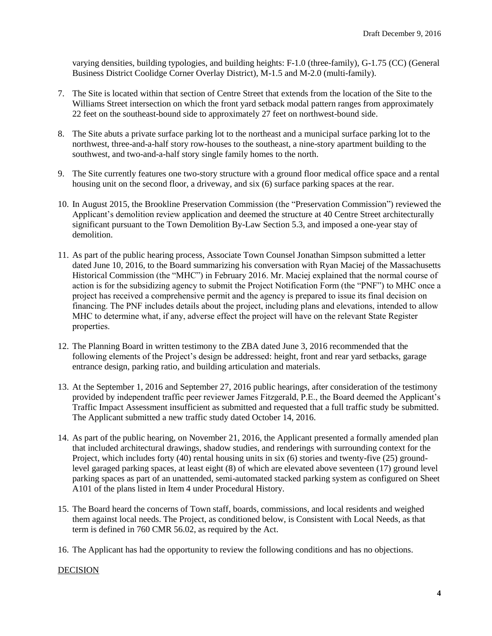varying densities, building typologies, and building heights: F-1.0 (three-family), G-1.75 (CC) (General Business District Coolidge Corner Overlay District), M-1.5 and M-2.0 (multi-family).

- 7. The Site is located within that section of Centre Street that extends from the location of the Site to the Williams Street intersection on which the front yard setback modal pattern ranges from approximately 22 feet on the southeast-bound side to approximately 27 feet on northwest-bound side.
- 8. The Site abuts a private surface parking lot to the northeast and a municipal surface parking lot to the northwest, three-and-a-half story row-houses to the southeast, a nine-story apartment building to the southwest, and two-and-a-half story single family homes to the north.
- 9. The Site currently features one two-story structure with a ground floor medical office space and a rental housing unit on the second floor, a driveway, and six (6) surface parking spaces at the rear.
- 10. In August 2015, the Brookline Preservation Commission (the "Preservation Commission") reviewed the Applicant's demolition review application and deemed the structure at 40 Centre Street architecturally significant pursuant to the Town Demolition By-Law Section 5.3, and imposed a one-year stay of demolition.
- 11. As part of the public hearing process, Associate Town Counsel Jonathan Simpson submitted a letter dated June 10, 2016, to the Board summarizing his conversation with Ryan Maciej of the Massachusetts Historical Commission (the "MHC") in February 2016. Mr. Maciej explained that the normal course of action is for the subsidizing agency to submit the Project Notification Form (the "PNF") to MHC once a project has received a comprehensive permit and the agency is prepared to issue its final decision on financing. The PNF includes details about the project, including plans and elevations, intended to allow MHC to determine what, if any, adverse effect the project will have on the relevant State Register properties.
- 12. The Planning Board in written testimony to the ZBA dated June 3, 2016 recommended that the following elements of the Project's design be addressed: height, front and rear yard setbacks, garage entrance design, parking ratio, and building articulation and materials.
- 13. At the September 1, 2016 and September 27, 2016 public hearings, after consideration of the testimony provided by independent traffic peer reviewer James Fitzgerald, P.E., the Board deemed the Applicant's Traffic Impact Assessment insufficient as submitted and requested that a full traffic study be submitted. The Applicant submitted a new traffic study dated October 14, 2016.
- 14. As part of the public hearing, on November 21, 2016, the Applicant presented a formally amended plan that included architectural drawings, shadow studies, and renderings with surrounding context for the Project, which includes forty (40) rental housing units in six (6) stories and twenty-five (25) groundlevel garaged parking spaces, at least eight (8) of which are elevated above seventeen (17) ground level parking spaces as part of an unattended, semi-automated stacked parking system as configured on Sheet A101 of the plans listed in Item 4 under Procedural History.
- 15. The Board heard the concerns of Town staff, boards, commissions, and local residents and weighed them against local needs. The Project, as conditioned below, is Consistent with Local Needs, as that term is defined in 760 CMR 56.02, as required by the Act.
- 16. The Applicant has had the opportunity to review the following conditions and has no objections.

# **DECISION**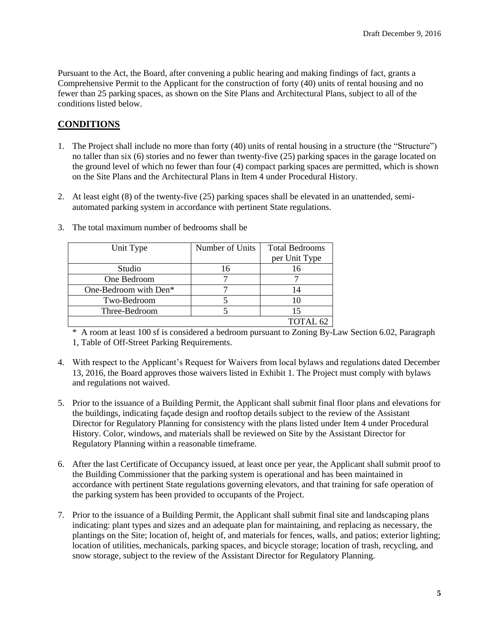Pursuant to the Act, the Board, after convening a public hearing and making findings of fact, grants a Comprehensive Permit to the Applicant for the construction of forty (40) units of rental housing and no fewer than 25 parking spaces, as shown on the Site Plans and Architectural Plans, subject to all of the conditions listed below.

# **CONDITIONS**

- 1. The Project shall include no more than forty (40) units of rental housing in a structure (the "Structure") no taller than six (6) stories and no fewer than twenty-five (25) parking spaces in the garage located on the ground level of which no fewer than four (4) compact parking spaces are permitted, which is shown on the Site Plans and the Architectural Plans in Item 4 under Procedural History.
- 2. At least eight (8) of the twenty-five (25) parking spaces shall be elevated in an unattended, semiautomated parking system in accordance with pertinent State regulations.

| Unit Type             | Number of Units | <b>Total Bedrooms</b> |
|-----------------------|-----------------|-----------------------|
|                       |                 | per Unit Type         |
| Studio                | 16              | 16                    |
| One Bedroom           |                 |                       |
| One-Bedroom with Den* |                 | 14                    |
| Two-Bedroom           |                 | 10                    |
| Three-Bedroom         |                 |                       |
|                       |                 | TOTAL <sub>62</sub>   |

3. The total maximum number of bedrooms shall be

\* A room at least 100 sf is considered a bedroom pursuant to Zoning By-Law Section 6.02, Paragraph 1, Table of Off-Street Parking Requirements.

- 4. With respect to the Applicant's Request for Waivers from local bylaws and regulations dated December 13, 2016, the Board approves those waivers listed in Exhibit 1. The Project must comply with bylaws and regulations not waived.
- 5. Prior to the issuance of a Building Permit, the Applicant shall submit final floor plans and elevations for the buildings, indicating façade design and rooftop details subject to the review of the Assistant Director for Regulatory Planning for consistency with the plans listed under Item 4 under Procedural History. Color, windows, and materials shall be reviewed on Site by the Assistant Director for Regulatory Planning within a reasonable timeframe.
- 6. After the last Certificate of Occupancy issued, at least once per year, the Applicant shall submit proof to the Building Commissioner that the parking system is operational and has been maintained in accordance with pertinent State regulations governing elevators, and that training for safe operation of the parking system has been provided to occupants of the Project.
- 7. Prior to the issuance of a Building Permit, the Applicant shall submit final site and landscaping plans indicating: plant types and sizes and an adequate plan for maintaining, and replacing as necessary, the plantings on the Site; location of, height of, and materials for fences, walls, and patios; exterior lighting; location of utilities, mechanicals, parking spaces, and bicycle storage; location of trash, recycling, and snow storage, subject to the review of the Assistant Director for Regulatory Planning.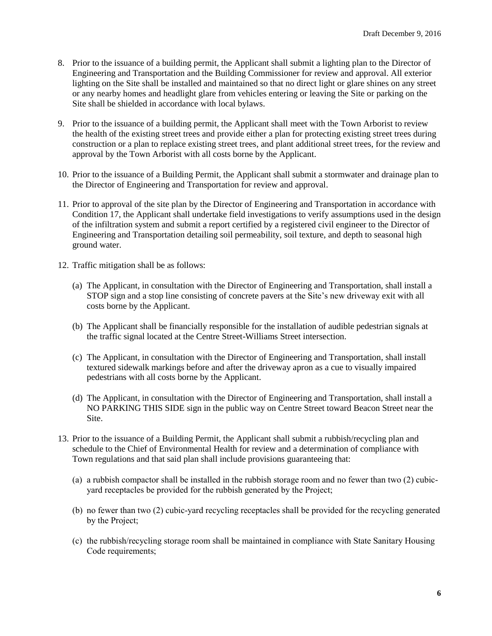- 8. Prior to the issuance of a building permit, the Applicant shall submit a lighting plan to the Director of Engineering and Transportation and the Building Commissioner for review and approval. All exterior lighting on the Site shall be installed and maintained so that no direct light or glare shines on any street or any nearby homes and headlight glare from vehicles entering or leaving the Site or parking on the Site shall be shielded in accordance with local bylaws.
- 9. Prior to the issuance of a building permit, the Applicant shall meet with the Town Arborist to review the health of the existing street trees and provide either a plan for protecting existing street trees during construction or a plan to replace existing street trees, and plant additional street trees, for the review and approval by the Town Arborist with all costs borne by the Applicant.
- 10. Prior to the issuance of a Building Permit, the Applicant shall submit a stormwater and drainage plan to the Director of Engineering and Transportation for review and approval.
- 11. Prior to approval of the site plan by the Director of Engineering and Transportation in accordance with Condition 17, the Applicant shall undertake field investigations to verify assumptions used in the design of the infiltration system and submit a report certified by a registered civil engineer to the Director of Engineering and Transportation detailing soil permeability, soil texture, and depth to seasonal high ground water.
- 12. Traffic mitigation shall be as follows:
	- (a) The Applicant, in consultation with the Director of Engineering and Transportation, shall install a STOP sign and a stop line consisting of concrete pavers at the Site's new driveway exit with all costs borne by the Applicant.
	- (b) The Applicant shall be financially responsible for the installation of audible pedestrian signals at the traffic signal located at the Centre Street-Williams Street intersection.
	- (c) The Applicant, in consultation with the Director of Engineering and Transportation, shall install textured sidewalk markings before and after the driveway apron as a cue to visually impaired pedestrians with all costs borne by the Applicant.
	- (d) The Applicant, in consultation with the Director of Engineering and Transportation, shall install a NO PARKING THIS SIDE sign in the public way on Centre Street toward Beacon Street near the Site.
- 13. Prior to the issuance of a Building Permit, the Applicant shall submit a rubbish/recycling plan and schedule to the Chief of Environmental Health for review and a determination of compliance with Town regulations and that said plan shall include provisions guaranteeing that:
	- (a) a rubbish compactor shall be installed in the rubbish storage room and no fewer than two (2) cubicyard receptacles be provided for the rubbish generated by the Project;
	- (b) no fewer than two (2) cubic-yard recycling receptacles shall be provided for the recycling generated by the Project;
	- (c) the rubbish/recycling storage room shall be maintained in compliance with State Sanitary Housing Code requirements;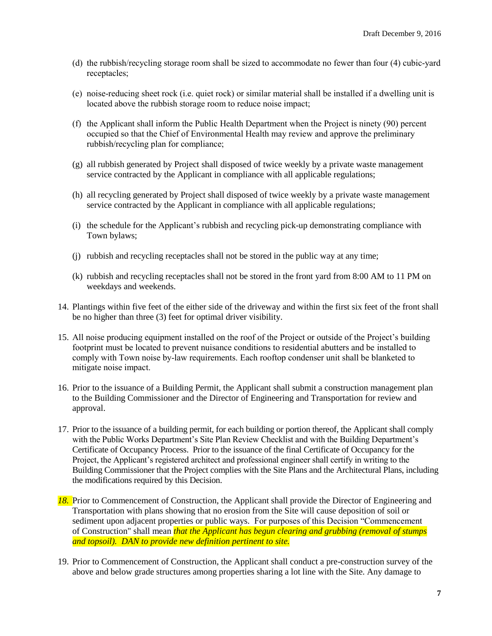- (d) the rubbish/recycling storage room shall be sized to accommodate no fewer than four (4) cubic-yard receptacles;
- (e) noise-reducing sheet rock (i.e. quiet rock) or similar material shall be installed if a dwelling unit is located above the rubbish storage room to reduce noise impact;
- (f) the Applicant shall inform the Public Health Department when the Project is ninety (90) percent occupied so that the Chief of Environmental Health may review and approve the preliminary rubbish/recycling plan for compliance;
- (g) all rubbish generated by Project shall disposed of twice weekly by a private waste management service contracted by the Applicant in compliance with all applicable regulations;
- (h) all recycling generated by Project shall disposed of twice weekly by a private waste management service contracted by the Applicant in compliance with all applicable regulations;
- (i) the schedule for the Applicant's rubbish and recycling pick-up demonstrating compliance with Town bylaws;
- (j) rubbish and recycling receptacles shall not be stored in the public way at any time;
- (k) rubbish and recycling receptacles shall not be stored in the front yard from 8:00 AM to 11 PM on weekdays and weekends.
- 14. Plantings within five feet of the either side of the driveway and within the first six feet of the front shall be no higher than three (3) feet for optimal driver visibility.
- 15. All noise producing equipment installed on the roof of the Project or outside of the Project's building footprint must be located to prevent nuisance conditions to residential abutters and be installed to comply with Town noise by-law requirements. Each rooftop condenser unit shall be blanketed to mitigate noise impact.
- 16. Prior to the issuance of a Building Permit, the Applicant shall submit a construction management plan to the Building Commissioner and the Director of Engineering and Transportation for review and approval.
- 17. Prior to the issuance of a building permit, for each building or portion thereof, the Applicant shall comply with the Public Works Department's Site Plan Review Checklist and with the Building Department's Certificate of Occupancy Process. Prior to the issuance of the final Certificate of Occupancy for the Project, the Applicant's registered architect and professional engineer shall certify in writing to the Building Commissioner that the Project complies with the Site Plans and the Architectural Plans, including the modifications required by this Decision.
- *18.* Prior to Commencement of Construction, the Applicant shall provide the Director of Engineering and Transportation with plans showing that no erosion from the Site will cause deposition of soil or sediment upon adjacent properties or public ways. For purposes of this Decision "Commencement of Construction" shall mean *that the Applicant has begun clearing and grubbing (removal of stumps and topsoil). DAN to provide new definition pertinent to site.*
- 19. Prior to Commencement of Construction, the Applicant shall conduct a pre-construction survey of the above and below grade structures among properties sharing a lot line with the Site. Any damage to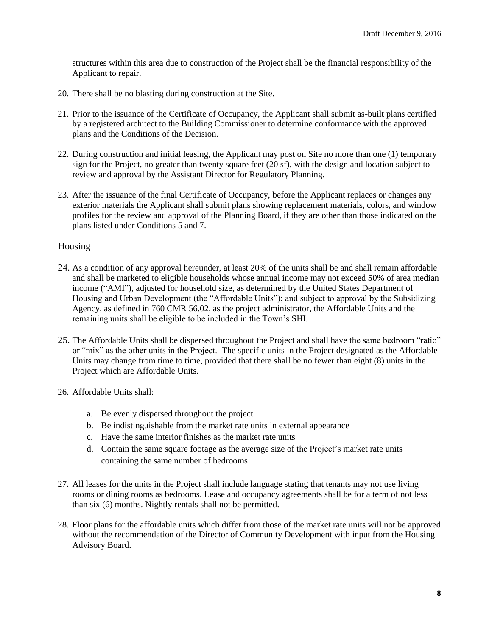structures within this area due to construction of the Project shall be the financial responsibility of the Applicant to repair.

- 20. There shall be no blasting during construction at the Site.
- 21. Prior to the issuance of the Certificate of Occupancy, the Applicant shall submit as-built plans certified by a registered architect to the Building Commissioner to determine conformance with the approved plans and the Conditions of the Decision.
- 22. During construction and initial leasing, the Applicant may post on Site no more than one (1) temporary sign for the Project, no greater than twenty square feet (20 sf), with the design and location subject to review and approval by the Assistant Director for Regulatory Planning.
- 23. After the issuance of the final Certificate of Occupancy, before the Applicant replaces or changes any exterior materials the Applicant shall submit plans showing replacement materials, colors, and window profiles for the review and approval of the Planning Board, if they are other than those indicated on the plans listed under Conditions 5 and 7.

# Housing

- 24. As a condition of any approval hereunder, at least 20% of the units shall be and shall remain affordable and shall be marketed to eligible households whose annual income may not exceed 50% of area median income ("AMI"), adjusted for household size, as determined by the United States Department of Housing and Urban Development (the "Affordable Units"); and subject to approval by the Subsidizing Agency, as defined in 760 CMR 56.02, as the project administrator, the Affordable Units and the remaining units shall be eligible to be included in the Town's SHI.
- 25. The Affordable Units shall be dispersed throughout the Project and shall have the same bedroom "ratio" or "mix" as the other units in the Project. The specific units in the Project designated as the Affordable Units may change from time to time, provided that there shall be no fewer than eight (8) units in the Project which are Affordable Units.
- 26. Affordable Units shall:
	- a. Be evenly dispersed throughout the project
	- b. Be indistinguishable from the market rate units in external appearance
	- c. Have the same interior finishes as the market rate units
	- d. Contain the same square footage as the average size of the Project's market rate units containing the same number of bedrooms
- 27. All leases for the units in the Project shall include language stating that tenants may not use living rooms or dining rooms as bedrooms. Lease and occupancy agreements shall be for a term of not less than six (6) months. Nightly rentals shall not be permitted.
- 28. Floor plans for the affordable units which differ from those of the market rate units will not be approved without the recommendation of the Director of Community Development with input from the Housing Advisory Board.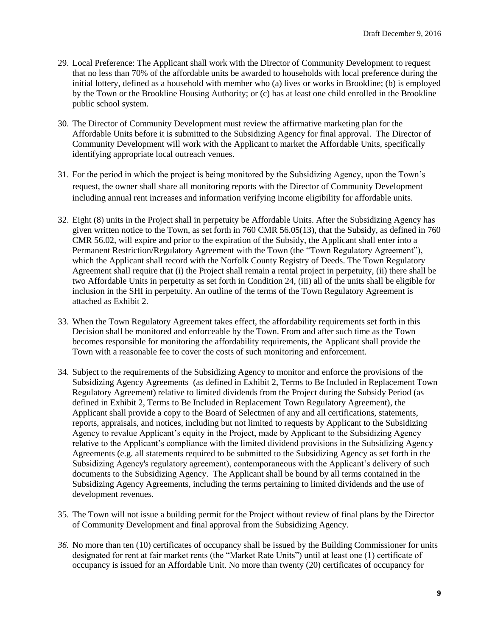- 29. Local Preference: The Applicant shall work with the Director of Community Development to request that no less than 70% of the affordable units be awarded to households with local preference during the initial lottery, defined as a household with member who (a) lives or works in Brookline; (b) is employed by the Town or the Brookline Housing Authority; or (c) has at least one child enrolled in the Brookline public school system.
- 30. The Director of Community Development must review the affirmative marketing plan for the Affordable Units before it is submitted to the Subsidizing Agency for final approval. The Director of Community Development will work with the Applicant to market the Affordable Units, specifically identifying appropriate local outreach venues.
- 31. For the period in which the project is being monitored by the Subsidizing Agency, upon the Town's request, the owner shall share all monitoring reports with the Director of Community Development including annual rent increases and information verifying income eligibility for affordable units.
- 32. Eight (8) units in the Project shall in perpetuity be Affordable Units. After the Subsidizing Agency has given written notice to the Town, as set forth in 760 CMR 56.05(13), that the Subsidy, as defined in 760 CMR 56.02, will expire and prior to the expiration of the Subsidy, the Applicant shall enter into a Permanent Restriction/Regulatory Agreement with the Town (the "Town Regulatory Agreement"), which the Applicant shall record with the Norfolk County Registry of Deeds. The Town Regulatory Agreement shall require that (i) the Project shall remain a rental project in perpetuity, (ii) there shall be two Affordable Units in perpetuity as set forth in Condition 24, (iii) all of the units shall be eligible for inclusion in the SHI in perpetuity. An outline of the terms of the Town Regulatory Agreement is attached as Exhibit 2.
- 33. When the Town Regulatory Agreement takes effect, the affordability requirements set forth in this Decision shall be monitored and enforceable by the Town. From and after such time as the Town becomes responsible for monitoring the affordability requirements, the Applicant shall provide the Town with a reasonable fee to cover the costs of such monitoring and enforcement.
- 34. Subject to the requirements of the Subsidizing Agency to monitor and enforce the provisions of the Subsidizing Agency Agreements (as defined in Exhibit 2, Terms to Be Included in Replacement Town Regulatory Agreement) relative to limited dividends from the Project during the Subsidy Period (as defined in Exhibit 2, Terms to Be Included in Replacement Town Regulatory Agreement), the Applicant shall provide a copy to the Board of Selectmen of any and all certifications, statements, reports, appraisals, and notices, including but not limited to requests by Applicant to the Subsidizing Agency to revalue Applicant's equity in the Project, made by Applicant to the Subsidizing Agency relative to the Applicant's compliance with the limited dividend provisions in the Subsidizing Agency Agreements (e.g. all statements required to be submitted to the Subsidizing Agency as set forth in the Subsidizing Agency's regulatory agreement), contemporaneous with the Applicant's delivery of such documents to the Subsidizing Agency. The Applicant shall be bound by all terms contained in the Subsidizing Agency Agreements, including the terms pertaining to limited dividends and the use of development revenues.
- 35. The Town will not issue a building permit for the Project without review of final plans by the Director of Community Development and final approval from the Subsidizing Agency.
- *36.* No more than ten (10) certificates of occupancy shall be issued by the Building Commissioner for units designated for rent at fair market rents (the "Market Rate Units") until at least one (1) certificate of occupancy is issued for an Affordable Unit. No more than twenty (20) certificates of occupancy for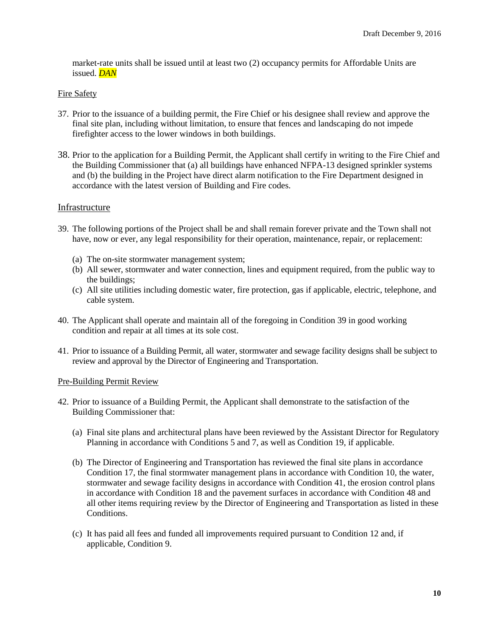market-rate units shall be issued until at least two (2) occupancy permits for Affordable Units are issued. *DAN*

### Fire Safety

- 37. Prior to the issuance of a building permit, the Fire Chief or his designee shall review and approve the final site plan, including without limitation, to ensure that fences and landscaping do not impede firefighter access to the lower windows in both buildings.
- 38. Prior to the application for a Building Permit, the Applicant shall certify in writing to the Fire Chief and the Building Commissioner that (a) all buildings have enhanced NFPA-13 designed sprinkler systems and (b) the building in the Project have direct alarm notification to the Fire Department designed in accordance with the latest version of Building and Fire codes.

### Infrastructure

- 39. The following portions of the Project shall be and shall remain forever private and the Town shall not have, now or ever, any legal responsibility for their operation, maintenance, repair, or replacement:
	- (a) The on-site stormwater management system;
	- (b) All sewer, stormwater and water connection, lines and equipment required, from the public way to the buildings;
	- (c) All site utilities including domestic water, fire protection, gas if applicable, electric, telephone, and cable system.
- 40. The Applicant shall operate and maintain all of the foregoing in Condition 39 in good working condition and repair at all times at its sole cost.
- 41. Prior to issuance of a Building Permit, all water, stormwater and sewage facility designs shall be subject to review and approval by the Director of Engineering and Transportation.

#### Pre-Building Permit Review

- 42. Prior to issuance of a Building Permit, the Applicant shall demonstrate to the satisfaction of the Building Commissioner that:
	- (a) Final site plans and architectural plans have been reviewed by the Assistant Director for Regulatory Planning in accordance with Conditions 5 and 7, as well as Condition 19, if applicable.
	- (b) The Director of Engineering and Transportation has reviewed the final site plans in accordance Condition 17, the final stormwater management plans in accordance with Condition 10, the water, stormwater and sewage facility designs in accordance with Condition 41, the erosion control plans in accordance with Condition 18 and the pavement surfaces in accordance with Condition 48 and all other items requiring review by the Director of Engineering and Transportation as listed in these Conditions.
	- (c) It has paid all fees and funded all improvements required pursuant to Condition 12 and, if applicable, Condition 9.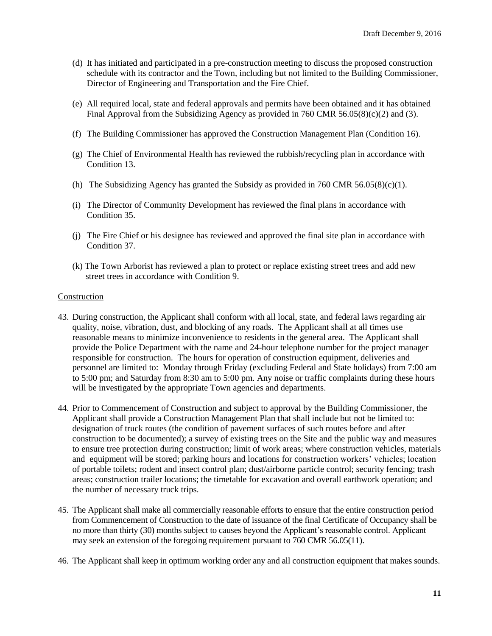- (d) It has initiated and participated in a pre-construction meeting to discuss the proposed construction schedule with its contractor and the Town, including but not limited to the Building Commissioner, Director of Engineering and Transportation and the Fire Chief.
- (e) All required local, state and federal approvals and permits have been obtained and it has obtained Final Approval from the Subsidizing Agency as provided in 760 CMR  $56.05(8)(c)(2)$  and (3).
- (f) The Building Commissioner has approved the Construction Management Plan (Condition 16).
- (g) The Chief of Environmental Health has reviewed the rubbish/recycling plan in accordance with Condition 13.
- (h) The Subsidizing Agency has granted the Subsidy as provided in 760 CMR 56.05(8)(c)(1).
- (i) The Director of Community Development has reviewed the final plans in accordance with Condition 35.
- (j) The Fire Chief or his designee has reviewed and approved the final site plan in accordance with Condition 37.
- (k) The Town Arborist has reviewed a plan to protect or replace existing street trees and add new street trees in accordance with Condition 9.

#### Construction

- 43. During construction, the Applicant shall conform with all local, state, and federal laws regarding air quality, noise, vibration, dust, and blocking of any roads. The Applicant shall at all times use reasonable means to minimize inconvenience to residents in the general area. The Applicant shall provide the Police Department with the name and 24-hour telephone number for the project manager responsible for construction. The hours for operation of construction equipment, deliveries and personnel are limited to: Monday through Friday (excluding Federal and State holidays) from 7:00 am to 5:00 pm; and Saturday from 8:30 am to 5:00 pm. Any noise or traffic complaints during these hours will be investigated by the appropriate Town agencies and departments.
- 44. Prior to Commencement of Construction and subject to approval by the Building Commissioner, the Applicant shall provide a Construction Management Plan that shall include but not be limited to: designation of truck routes (the condition of pavement surfaces of such routes before and after construction to be documented); a survey of existing trees on the Site and the public way and measures to ensure tree protection during construction; limit of work areas; where construction vehicles, materials and equipment will be stored; parking hours and locations for construction workers' vehicles; location of portable toilets; rodent and insect control plan; dust/airborne particle control; security fencing; trash areas; construction trailer locations; the timetable for excavation and overall earthwork operation; and the number of necessary truck trips.
- 45. The Applicant shall make all commercially reasonable efforts to ensure that the entire construction period from Commencement of Construction to the date of issuance of the final Certificate of Occupancy shall be no more than thirty (30) months subject to causes beyond the Applicant's reasonable control. Applicant may seek an extension of the foregoing requirement pursuant to 760 CMR 56.05(11).
- 46. The Applicant shall keep in optimum working order any and all construction equipment that makes sounds.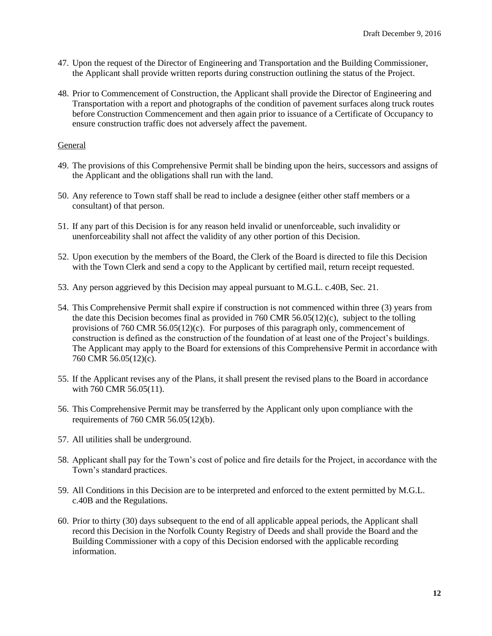- 47. Upon the request of the Director of Engineering and Transportation and the Building Commissioner, the Applicant shall provide written reports during construction outlining the status of the Project.
- 48. Prior to Commencement of Construction, the Applicant shall provide the Director of Engineering and Transportation with a report and photographs of the condition of pavement surfaces along truck routes before Construction Commencement and then again prior to issuance of a Certificate of Occupancy to ensure construction traffic does not adversely affect the pavement.

# General

- 49. The provisions of this Comprehensive Permit shall be binding upon the heirs, successors and assigns of the Applicant and the obligations shall run with the land.
- 50. Any reference to Town staff shall be read to include a designee (either other staff members or a consultant) of that person.
- 51. If any part of this Decision is for any reason held invalid or unenforceable, such invalidity or unenforceability shall not affect the validity of any other portion of this Decision.
- 52. Upon execution by the members of the Board, the Clerk of the Board is directed to file this Decision with the Town Clerk and send a copy to the Applicant by certified mail, return receipt requested.
- 53. Any person aggrieved by this Decision may appeal pursuant to M.G.L. c.40B, Sec. 21.
- 54. This Comprehensive Permit shall expire if construction is not commenced within three (3) years from the date this Decision becomes final as provided in 760 CMR 56.05(12)(c), subject to the tolling provisions of 760 CMR 56.05(12)(c). For purposes of this paragraph only, commencement of construction is defined as the construction of the foundation of at least one of the Project's buildings. The Applicant may apply to the Board for extensions of this Comprehensive Permit in accordance with 760 CMR 56.05(12)(c).
- 55. If the Applicant revises any of the Plans, it shall present the revised plans to the Board in accordance with 760 CMR 56.05(11).
- 56. This Comprehensive Permit may be transferred by the Applicant only upon compliance with the requirements of 760 CMR 56.05(12)(b).
- 57. All utilities shall be underground.
- 58. Applicant shall pay for the Town's cost of police and fire details for the Project, in accordance with the Town's standard practices.
- 59. All Conditions in this Decision are to be interpreted and enforced to the extent permitted by M.G.L. c.40B and the Regulations.
- 60. Prior to thirty (30) days subsequent to the end of all applicable appeal periods, the Applicant shall record this Decision in the Norfolk County Registry of Deeds and shall provide the Board and the Building Commissioner with a copy of this Decision endorsed with the applicable recording information.